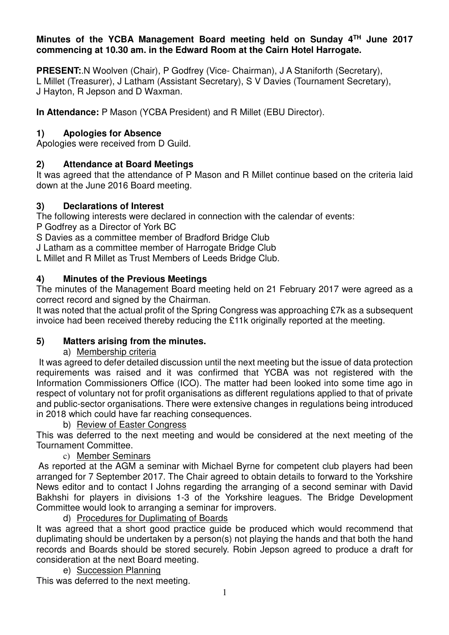#### **Minutes of the YCBA Management Board meeting held on Sunday 4TH June 2017 commencing at 10.30 am. in the Edward Room at the Cairn Hotel Harrogate.**

**PRESENT:**.N Woolven (Chair), P Godfrey (Vice- Chairman), J A Staniforth (Secretary), L Millet (Treasurer), J Latham (Assistant Secretary), S V Davies (Tournament Secretary), J Hayton, R Jepson and D Waxman.

**In Attendance:** P Mason (YCBA President) and R Millet (EBU Director).

# **1) Apologies for Absence**

Apologies were received from D Guild.

## **2) Attendance at Board Meetings**

It was agreed that the attendance of P Mason and R Millet continue based on the criteria laid down at the June 2016 Board meeting.

#### **3) Declarations of Interest**

The following interests were declared in connection with the calendar of events:

P Godfrey as a Director of York BC

S Davies as a committee member of Bradford Bridge Club

J Latham as a committee member of Harrogate Bridge Club

L Millet and R Millet as Trust Members of Leeds Bridge Club.

#### **4) Minutes of the Previous Meetings**

The minutes of the Management Board meeting held on 21 February 2017 were agreed as a correct record and signed by the Chairman.

It was noted that the actual profit of the Spring Congress was approaching £7k as a subsequent invoice had been received thereby reducing the £11k originally reported at the meeting.

#### **5) Matters arising from the minutes.**

#### a) Membership criteria

 It was agreed to defer detailed discussion until the next meeting but the issue of data protection requirements was raised and it was confirmed that YCBA was not registered with the Information Commissioners Office (ICO). The matter had been looked into some time ago in respect of voluntary not for profit organisations as different regulations applied to that of private and public-sector organisations. There were extensive changes in regulations being introduced in 2018 which could have far reaching consequences.

#### b) Review of Easter Congress

This was deferred to the next meeting and would be considered at the next meeting of the Tournament Committee.

#### c) Member Seminars

 As reported at the AGM a seminar with Michael Byrne for competent club players had been arranged for 7 September 2017. The Chair agreed to obtain details to forward to the Yorkshire News editor and to contact I Johns regarding the arranging of a second seminar with David Bakhshi for players in divisions 1-3 of the Yorkshire leagues. The Bridge Development Committee would look to arranging a seminar for improvers.

#### d) Procedures for Duplimating of Boards

It was agreed that a short good practice guide be produced which would recommend that duplimating should be undertaken by a person(s) not playing the hands and that both the hand records and Boards should be stored securely. Robin Jepson agreed to produce a draft for consideration at the next Board meeting.

e) Succession Planning

This was deferred to the next meeting.